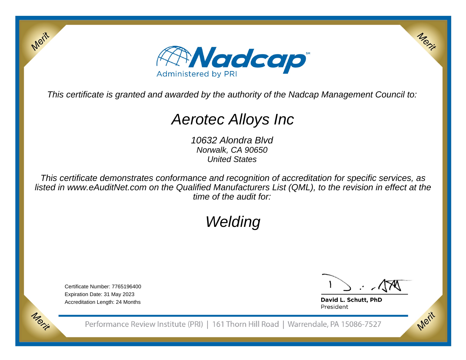

This certificate is granted and awarded by the authority of the Nadcap Management Council to:

# Aerotec Alloys Inc

10632 Alondra Blvd Norwalk, CA 90650United States

This certificate demonstrates conformance and recognition of accreditation for specific services, as listed in www.eAuditNet.com on the Qualified Manufacturers List (QML), to the revision in effect at thetime of the audit for:

# Welding

Certificate Number: 7765196400Expiration Date: 31 May 2023Accreditation Length: 24 Months

Merit

Merit

Merit

Merit

David L. Schutt, PhD President

Performance Review Institute (PRI) | 161 Thorn Hill Road | Warrendale, PA 15086-7527